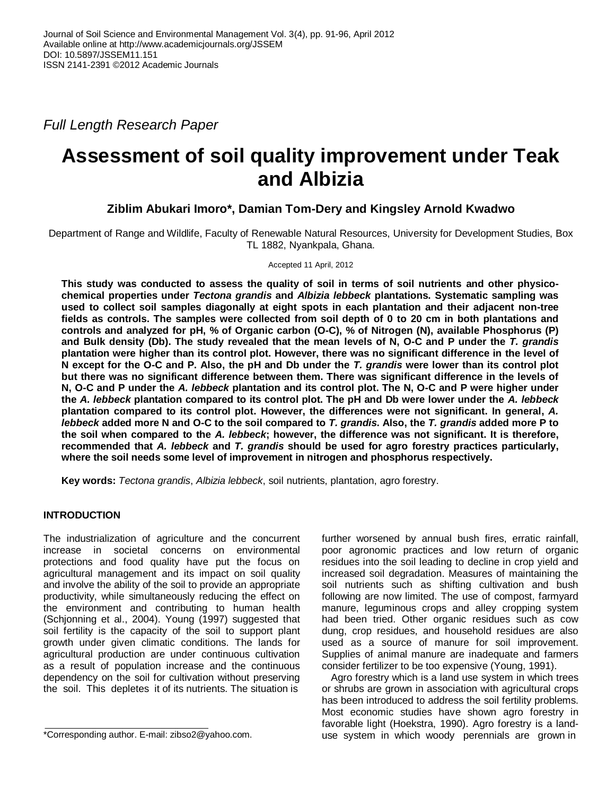*Full Length Research Paper*

# **Assessment of soil quality improvement under Teak and Albizia**

# **Ziblim Abukari Imoro\*, Damian Tom-Dery and Kingsley Arnold Kwadwo**

Department of Range and Wildlife, Faculty of Renewable Natural Resources, University for Development Studies, Box TL 1882, Nyankpala, Ghana.

Accepted 11 April, 2012

**This study was conducted to assess the quality of soil in terms of soil nutrients and other physicochemical properties under** *Tectona grandis* **and** *Albizia lebbeck* **plantations. Systematic sampling was used to collect soil samples diagonally at eight spots in each plantation and their adjacent non-tree fields as controls. The samples were collected from soil depth of 0 to 20 cm in both plantations and controls and analyzed for pH, % of Organic carbon (O-C), % of Nitrogen (N), available Phosphorus (P) and Bulk density (Db). The study revealed that the mean levels of N, O-C and P under the** *T. grandis* **plantation were higher than its control plot. However, there was no significant difference in the level of N except for the O-C and P. Also, the pH and Db under the** *T. grandis* **were lower than its control plot but there was no significant difference between them. There was significant difference in the levels of N, O-C and P under the** *A. lebbeck* **plantation and its control plot. The N, O-C and P were higher under the** *A. lebbeck* **plantation compared to its control plot. The pH and Db were lower under the** *A. lebbeck* **plantation compared to its control plot. However, the differences were not significant. In general,** *A. lebbeck* **added more N and O-C to the soil compared to** *T. grandis***. Also, the** *T. grandis* **added more P to the soil when compared to the** *A. lebbeck***; however, the difference was not significant. It is therefore, recommended that** *A. lebbeck* **and** *T. grandis* **should be used for agro forestry practices particularly, where the soil needs some level of improvement in nitrogen and phosphorus respectively.**

**Key words:** *Tectona grandis*, *Albizia lebbeck*, soil nutrients, plantation, agro forestry.

## **INTRODUCTION**

The industrialization of agriculture and the concurrent increase in societal concerns on environmental protections and food quality have put the focus on agricultural management and its impact on soil quality and involve the ability of the soil to provide an appropriate productivity, while simultaneously reducing the effect on the environment and contributing to human health (Schjonning et al., 2004). Young (1997) suggested that soil fertility is the capacity of the soil to support plant growth under given climatic conditions. The lands for agricultural production are under continuous cultivation as a result of population increase and the continuous dependency on the soil for cultivation without preserving the soil. This depletes it of its nutrients. The situation is

further worsened by annual bush fires, erratic rainfall, poor agronomic practices and low return of organic residues into the soil leading to decline in crop yield and increased soil degradation. Measures of maintaining the soil nutrients such as shifting cultivation and bush following are now limited. The use of compost, farmyard manure, leguminous crops and alley cropping system had been tried. Other organic residues such as cow dung, crop residues, and household residues are also used as a source of manure for soil improvement. Supplies of animal manure are inadequate and farmers consider fertilizer to be too expensive (Young, 1991).

Agro forestry which is a land use system in which trees or shrubs are grown in association with agricultural crops has been introduced to address the soil fertility problems. Most economic studies have shown agro forestry in favorable light (Hoekstra, 1990). Agro forestry is a landuse system in which woody perennials are grown in

<sup>\*</sup>Corresponding author. E-mail: zibso2@yahoo.com.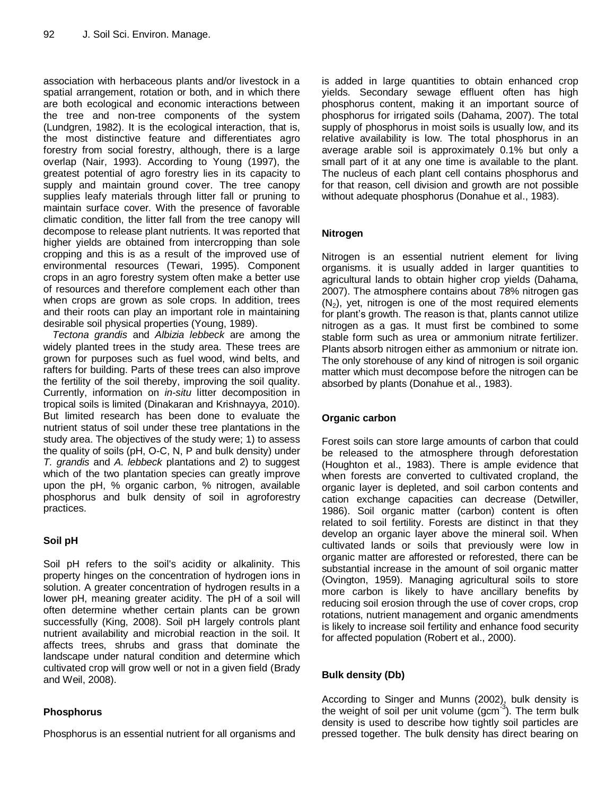association with herbaceous plants and/or livestock in a spatial arrangement, rotation or both, and in which there are both ecological and economic interactions between the tree and non-tree components of the system (Lundgren, 1982). It is the ecological interaction, that is, the most distinctive feature and differentiates agro forestry from social forestry, although, there is a large overlap (Nair, 1993). According to Young (1997), the greatest potential of agro forestry lies in its capacity to supply and maintain ground cover. The tree canopy supplies leafy materials through litter fall or pruning to maintain surface cover. With the presence of favorable climatic condition, the litter fall from the tree canopy will decompose to release plant nutrients. It was reported that higher yields are obtained from intercropping than sole cropping and this is as a result of the improved use of environmental resources (Tewari, 1995). Component crops in an agro forestry system often make a better use of resources and therefore complement each other than when crops are grown as sole crops. In addition, trees and their roots can play an important role in maintaining desirable soil physical properties (Young, 1989).

*Tectona grandis* and *Albizia lebbeck* are among the widely planted trees in the study area. These trees are grown for purposes such as fuel wood, wind belts, and rafters for building. Parts of these trees can also improve the fertility of the soil thereby, improving the soil quality. Currently, information on *in-situ* litter decomposition in tropical soils is limited (Dinakaran and Krishnayya, 2010). But limited research has been done to evaluate the nutrient status of soil under these tree plantations in the study area. The objectives of the study were; 1) to assess the quality of soils (pH, O-C, N, P and bulk density) under *T. grandis* and *A. lebbeck* plantations and 2) to suggest which of the two plantation species can greatly improve upon the pH, % organic carbon, % nitrogen, available phosphorus and bulk density of soil in agroforestry practices.

## **Soil pH**

Soil pH refers to the soil's acidity or alkalinity. This property hinges on the concentration of hydrogen ions in solution. A greater concentration of hydrogen results in a lower pH, meaning greater acidity. The pH of a soil will often determine whether certain plants can be grown successfully (King, 2008). Soil pH largely controls plant nutrient availability and microbial reaction in the soil. It affects trees, shrubs and grass that dominate the landscape under natural condition and determine which cultivated crop will grow well or not in a given field (Brady and Weil, 2008).

## **Phosphorus**

Phosphorus is an essential nutrient for all organisms and

is added in large quantities to obtain enhanced crop yields. Secondary sewage effluent often has high phosphorus content, making it an important source of phosphorus for irrigated soils (Dahama, 2007). The total supply of phosphorus in moist soils is usually low, and its relative availability is low. The total phosphorus in an average arable soil is approximately 0.1% but only a small part of it at any one time is available to the plant. The nucleus of each plant cell contains phosphorus and for that reason, cell division and growth are not possible without adequate phosphorus (Donahue et al., 1983).

## **Nitrogen**

Nitrogen is an essential nutrient element for living organisms. it is usually added in larger quantities to agricultural lands to obtain higher crop yields (Dahama, 2007). The atmosphere contains about 78% nitrogen gas  $(N_2)$ , yet, nitrogen is one of the most required elements for plant's growth. The reason is that, plants cannot utilize nitrogen as a gas. It must first be combined to some stable form such as urea or ammonium nitrate fertilizer. Plants absorb nitrogen either as ammonium or nitrate ion. The only storehouse of any kind of nitrogen is soil organic matter which must decompose before the nitrogen can be absorbed by plants (Donahue et al., 1983).

## **Organic carbon**

Forest soils can store large amounts of carbon that could be released to the atmosphere through deforestation (Houghton et al., 1983). There is ample evidence that when forests are converted to cultivated cropland, the organic layer is depleted, and soil carbon contents and cation exchange capacities can decrease (Detwiller, 1986). Soil organic matter (carbon) content is often related to soil fertility. Forests are distinct in that they develop an organic layer above the mineral soil. When cultivated lands or soils that previously were low in organic matter are afforested or reforested, there can be substantial increase in the amount of soil organic matter (Ovington, 1959). Managing agricultural soils to store more carbon is likely to have ancillary benefits by reducing soil erosion through the use of cover crops, crop rotations, nutrient management and organic amendments is likely to increase soil fertility and enhance food security for affected population (Robert et al., 2000).

## **Bulk density (Db)**

According to Singer and Munns (2002), bulk density is the weight of soil per unit volume (gcm $\frac{3}{3}$ ). The term bulk density is used to describe how tightly soil particles are pressed together. The bulk density has direct bearing on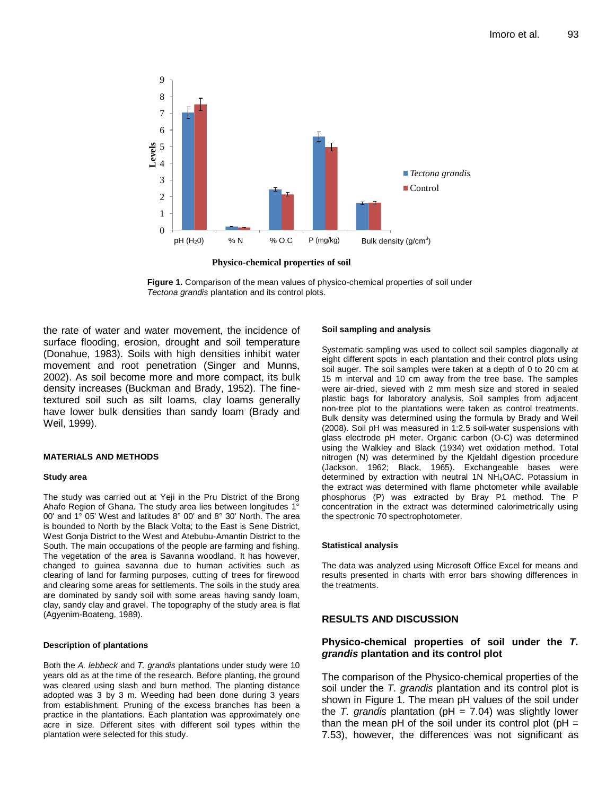

**Physico-chemical properties of soil**

**Figure 1.** Comparison of the mean values of physico-chemical properties of soil under *Tectona grandis* plantation and its control plots.

the rate of water and water movement, the incidence of surface flooding, erosion, drought and soil temperature (Donahue, 1983). Soils with high densities inhibit water movement and root penetration (Singer and Munns, 2002). As soil become more and more compact, its bulk density increases (Buckman and Brady, 1952). The finetextured soil such as silt loams, clay loams generally have lower bulk densities than sandy loam (Brady and Weil, 1999).

#### **MATERIALS AND METHODS**

#### **Study area**

The study was carried out at Yeji in the Pru District of the Brong Ahafo Region of Ghana. The study area lies between longitudes 1° 00' and 1° 05' West and latitudes 8° 00' and 8° 30' North. The area is bounded to North by the Black Volta; to the East is Sene District, West Gonja District to the West and Atebubu-Amantin District to the South. The main occupations of the people are farming and fishing. The vegetation of the area is Savanna woodland. It has however, changed to guinea savanna due to human activities such as clearing of land for farming purposes, cutting of trees for firewood and clearing some areas for settlements. The soils in the study area are dominated by sandy soil with some areas having sandy loam, clay, sandy clay and gravel. The topography of the study area is flat (Agyenim-Boateng, 1989).

#### **Description of plantations**

Both the *A. lebbeck* and *T. grandis* plantations under study were 10 years old as at the time of the research. Before planting, the ground was cleared using slash and burn method. The planting distance adopted was 3 by 3 m. Weeding had been done during 3 years from establishment. Pruning of the excess branches has been a practice in the plantations. Each plantation was approximately one acre in size. Different sites with different soil types within the plantation were selected for this study.

#### **Soil sampling and analysis**

Systematic sampling was used to collect soil samples diagonally at eight different spots in each plantation and their control plots using soil auger. The soil samples were taken at a depth of 0 to 20 cm at 15 m interval and 10 cm away from the tree base. The samples were air-dried, sieved with 2 mm mesh size and stored in sealed plastic bags for laboratory analysis. Soil samples from adjacent non-tree plot to the plantations were taken as control treatments. Bulk density was determined using the formula by Brady and Weil (2008). Soil pH was measured in 1:2.5 soil-water suspensions with glass electrode pH meter. Organic carbon (O-C) was determined using the Walkley and Black (1934) wet oxidation method. Total nitrogen (N) was determined by the Kjeldahl digestion procedure (Jackson, 1962; Black, 1965). Exchangeable bases were determined by extraction with neutral 1N NH4OAC. Potassium in the extract was determined with flame photometer while available phosphorus (P) was extracted by Bray P1 method. The P concentration in the extract was determined calorimetrically using the spectronic 70 spectrophotometer.

#### **Statistical analysis**

The data was analyzed using Microsoft Office Excel for means and results presented in charts with error bars showing differences in the treatments.

### **RESULTS AND DISCUSSION**

#### **Physico-chemical properties of soil under the** *T. grandis* **plantation and its control plot**

The comparison of the Physico-chemical properties of the soil under the *T. grandis* plantation and its control plot is shown in Figure 1. The mean pH values of the soil under the *T. grandis* plantation (pH = 7.04) was slightly lower than the mean pH of the soil under its control plot ( $pH =$ 7.53), however, the differences was not significant as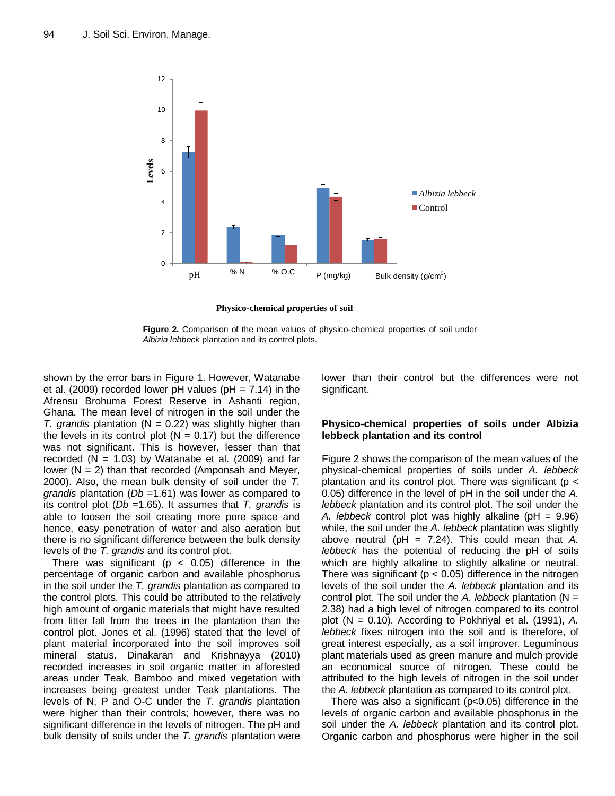

**Physico-chemical properties of soil**



shown by the error bars in Figure 1. However, Watanabe et al. (2009) recorded lower pH values (pH =  $7.14$ ) in the Afrensu Brohuma Forest Reserve in Ashanti region, Ghana. The mean level of nitrogen in the soil under the *T. grandis* plantation (N = 0.22) was slightly higher than the levels in its control plot ( $N = 0.17$ ) but the difference was not significant. This is however, lesser than that recorded ( $N = 1.03$ ) by Watanabe et al. (2009) and far lower  $(N = 2)$  than that recorded (Amponsah and Meyer, 2000). Also, the mean bulk density of soil under the *T. grandis* plantation (*Db* =1.61) was lower as compared to its control plot (*Db* =1.65). It assumes that *T. grandis* is able to loosen the soil creating more pore space and hence, easy penetration of water and also aeration but there is no significant difference between the bulk density levels of the *T. grandis* and its control plot.

There was significant ( $p < 0.05$ ) difference in the percentage of organic carbon and available phosphorus in the soil under the *T. grandis* plantation as compared to the control plots. This could be attributed to the relatively high amount of organic materials that might have resulted from litter fall from the trees in the plantation than the control plot. Jones et al. (1996) stated that the level of plant material incorporated into the soil improves soil mineral status. Dinakaran and Krishnayya (2010) recorded increases in soil organic matter in afforested areas under Teak, Bamboo and mixed vegetation with increases being greatest under Teak plantations. The levels of N, P and O-C under the *T. grandis* plantation were higher than their controls; however, there was no significant difference in the levels of nitrogen. The pH and bulk density of soils under the *T. grandis* plantation were

lower than their control but the differences were not significant.

## **Physico-chemical properties of soils under Albizia lebbeck plantation and its control**

Figure 2 shows the comparison of the mean values of the physical-chemical properties of soils under *A. lebbeck* plantation and its control plot. There was significant ( $p <$ 0.05) difference in the level of pH in the soil under the *A. lebbeck* plantation and its control plot. The soil under the *A. lebbeck* control plot was highly alkaline (pH = 9.96) while, the soil under the *A. lebbeck* plantation was slightly above neutral (pH = 7.24). This could mean that *A. lebbeck* has the potential of reducing the pH of soils which are highly alkaline to slightly alkaline or neutral. There was significant ( $p < 0.05$ ) difference in the nitrogen levels of the soil under the *A. lebbeck* plantation and its control plot. The soil under the *A. lebbeck* plantation (N = 2.38) had a high level of nitrogen compared to its control plot (N = 0.10). According to Pokhriyal et al. (1991), *A. lebbeck* fixes nitrogen into the soil and is therefore, of great interest especially, as a soil improver. Leguminous plant materials used as green manure and mulch provide an economical source of nitrogen. These could be attributed to the high levels of nitrogen in the soil under the *A. lebbeck* plantation as compared to its control plot.

There was also a significant (p<0.05) difference in the levels of organic carbon and available phosphorus in the soil under the *A. lebbeck* plantation and its control plot. Organic carbon and phosphorus were higher in the soil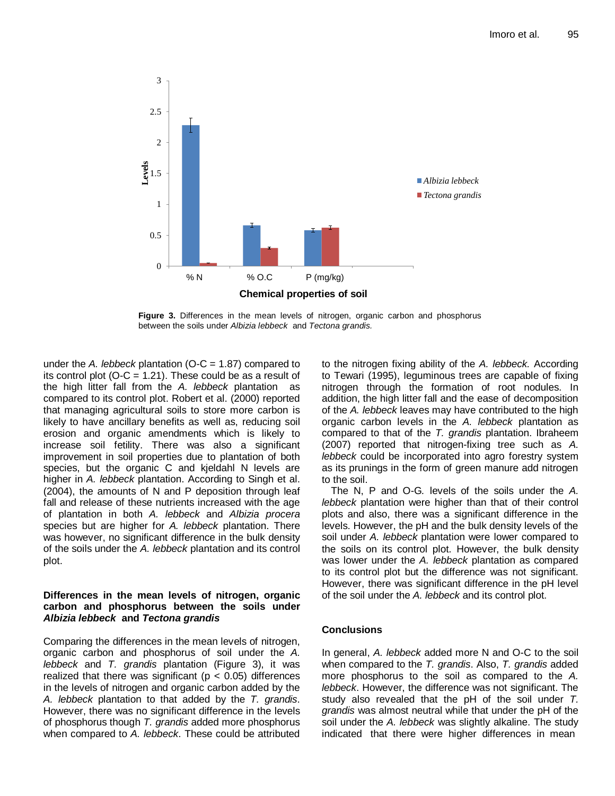

**Figure 3.** Differences in the mean levels of nitrogen, organic carbon and phosphorus between the soils under *Albizia lebbeck* and *Tectona grandis.*

under the *A. lebbeck* plantation (O-C = 1.87) compared to its control plot ( $O-C = 1.21$ ). These could be as a result of the high litter fall from the *A. lebbeck* plantation as compared to its control plot. Robert et al. (2000) reported that managing agricultural soils to store more carbon is likely to have ancillary benefits as well as, reducing soil erosion and organic amendments which is likely to increase soil fetility. There was also a significant improvement in soil properties due to plantation of both species, but the organic C and kjeldahl N levels are higher in *A. lebbeck* plantation. According to Singh et al. (2004), the amounts of N and P deposition through leaf fall and release of these nutrients increased with the age of plantation in both *A. lebbeck* and *Albizia procera*  species but are higher for *A. lebbeck* plantation. There was however, no significant difference in the bulk density of the soils under the *A. lebbeck* plantation and its control plot.

## **Differences in the mean levels of nitrogen, organic carbon and phosphorus between the soils under**  *Albizia lebbeck* **and** *Tectona grandis*

Comparing the differences in the mean levels of nitrogen, organic carbon and phosphorus of soil under the *A. lebbeck* and *T. grandis* plantation (Figure 3), it was realized that there was significant ( $p < 0.05$ ) differences in the levels of nitrogen and organic carbon added by the *A. lebbeck* plantation to that added by the *T. grandis*. However, there was no significant difference in the levels of phosphorus though *T. grandis* added more phosphorus when compared to *A. lebbeck*. These could be attributed to the nitrogen fixing ability of the *A. lebbeck.* According to Tewari (1995), leguminous trees are capable of fixing nitrogen through the formation of root nodules. In addition, the high litter fall and the ease of decomposition of the *A. lebbeck* leaves may have contributed to the high organic carbon levels in the *A. lebbeck* plantation as compared to that of the *T. grandis* plantation. Ibraheem (2007) reported that nitrogen-fixing tree such as *A. lebbeck* could be incorporated into agro forestry system as its prunings in the form of green manure add nitrogen to the soil.

The N, P and O-G*.* levels of the soils under the *A. lebbeck* plantation were higher than that of their control plots and also, there was a significant difference in the levels. However, the pH and the bulk density levels of the soil under *A. lebbeck* plantation were lower compared to the soils on its control plot. However, the bulk density was lower under the *A. lebbeck* plantation as compared to its control plot but the difference was not significant. However, there was significant difference in the pH level of the soil under the *A. lebbeck* and its control plot.

## **Conclusions**

In general, *A. lebbeck* added more N and O-C to the soil when compared to the *T. grandis*. Also, *T. grandis* added more phosphorus to the soil as compared to the *A. lebbeck*. However, the difference was not significant. The study also revealed that the pH of the soil under *T. grandis* was almost neutral while that under the pH of the soil under the *A. lebbeck* was slightly alkaline. The study indicated that there were higher differences in mean